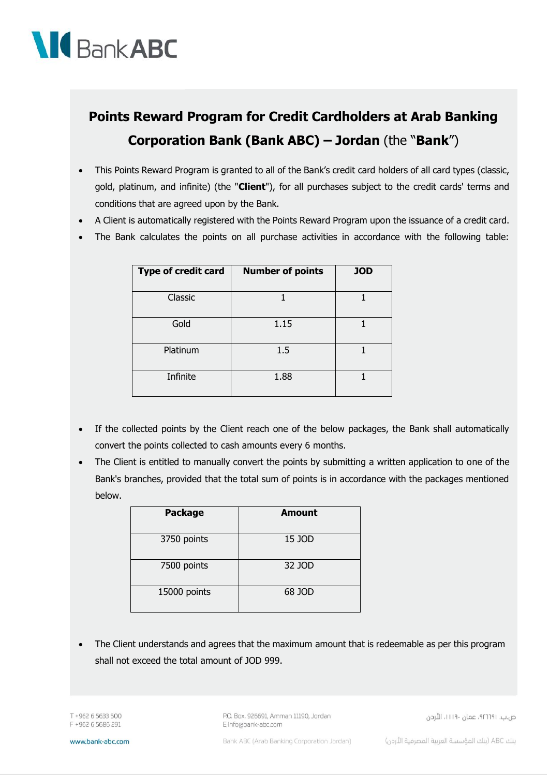

## **Points Reward Program for Credit Cardholders at Arab Banking Corporation Bank (Bank ABC) – Jordan** (the "**Bank**")

- This Points Reward Program is granted to all of the Bank's credit card holders of all card types (classic, gold, platinum, and infinite) (the "**Client**"), for all purchases subject to the credit cards' terms and conditions that are agreed upon by the Bank.
- A Client is automatically registered with the Points Reward Program upon the issuance of a credit card.
- The Bank calculates the points on all purchase activities in accordance with the following table:

| Type of credit card | <b>Number of points</b> | <b>JOD</b> |
|---------------------|-------------------------|------------|
| Classic             |                         |            |
| Gold                | 1.15                    |            |
| Platinum            | 1.5                     |            |
| Infinite            | 1.88                    |            |

- If the collected points by the Client reach one of the below packages, the Bank shall automatically convert the points collected to cash amounts every 6 months.
- The Client is entitled to manually convert the points by submitting a written application to one of the Bank's branches, provided that the total sum of points is in accordance with the packages mentioned below.

| <b>Package</b> | <b>Amount</b> |
|----------------|---------------|
| 3750 points    | 15 JOD        |
| 7500 points    | 32 JOD        |
| 15000 points   | 68 JOD        |

 The Client understands and agrees that the maximum amount that is redeemable as per this program shall not exceed the total amount of JOD 999.

T +962 6 5633 500 F +962 6 5686 291 P.O. Box. 926691, Amman 11190, Jordan E info@bank-abc.com

ص.ب. ١١١٩٠، عمان ١١١٩٠، الأردن

www.bank-abc.com

Bank ABC (Arab Banking Corporation Jordan)